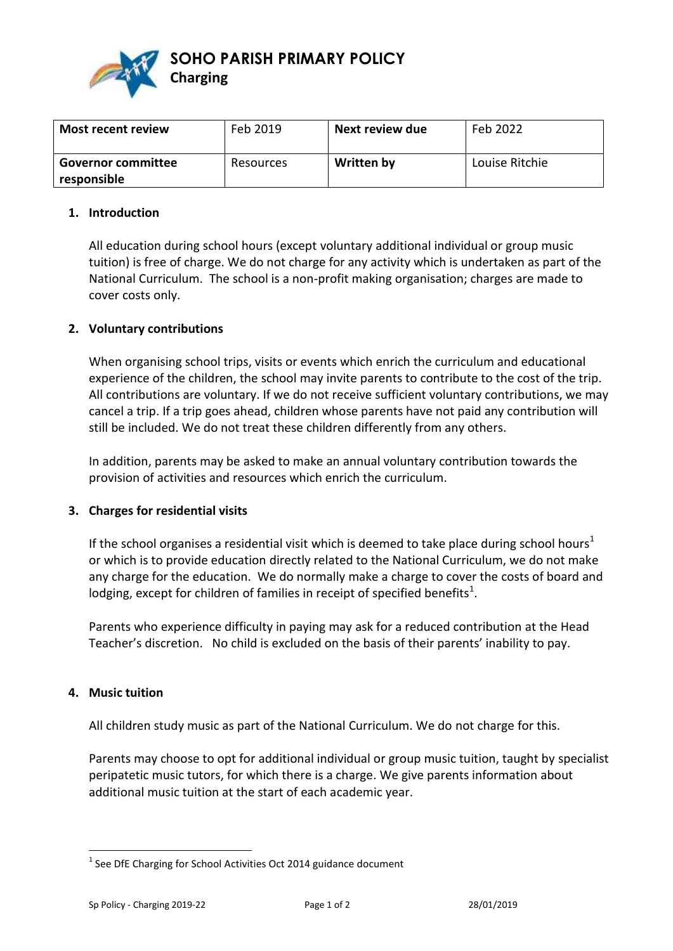

**Charging**

**SOHO PARISH PRIMARY POLICY** 

| Most recent review                       | Feb 2019  | Next review due | Feb 2022       |
|------------------------------------------|-----------|-----------------|----------------|
| <b>Governor committee</b><br>responsible | Resources | Written by      | Louise Ritchie |

### **1. Introduction**

All education during school hours (except voluntary additional individual or group music tuition) is free of charge. We do not charge for any activity which is undertaken as part of the National Curriculum. The school is a non-profit making organisation; charges are made to cover costs only.

## **2. Voluntary contributions**

When organising school trips, visits or events which enrich the curriculum and educational experience of the children, the school may invite parents to contribute to the cost of the trip. All contributions are voluntary. If we do not receive sufficient voluntary contributions, we may cancel a trip. If a trip goes ahead, children whose parents have not paid any contribution will still be included. We do not treat these children differently from any others.

In addition, parents may be asked to make an annual voluntary contribution towards the provision of activities and resources which enrich the curriculum.

#### **3. Charges for residential visits**

If the school organises a residential visit which is deemed to take place during school hours<sup>1</sup> or which is to provide education directly related to the National Curriculum, we do not make any charge for the education. We do normally make a charge to cover the costs of board and lodging, except for children of families in receipt of specified benefits<sup>1</sup>.

Parents who experience difficulty in paying may ask for a reduced contribution at the Head Teacher's discretion. No child is excluded on the basis of their parents' inability to pay.

#### **4. Music tuition**

 $\overline{a}$ 

All children study music as part of the National Curriculum. We do not charge for this.

Parents may choose to opt for additional individual or group music tuition, taught by specialist peripatetic music tutors, for which there is a charge. We give parents information about additional music tuition at the start of each academic year.

 $1$  See DfE Charging for School Activities Oct 2014 guidance document